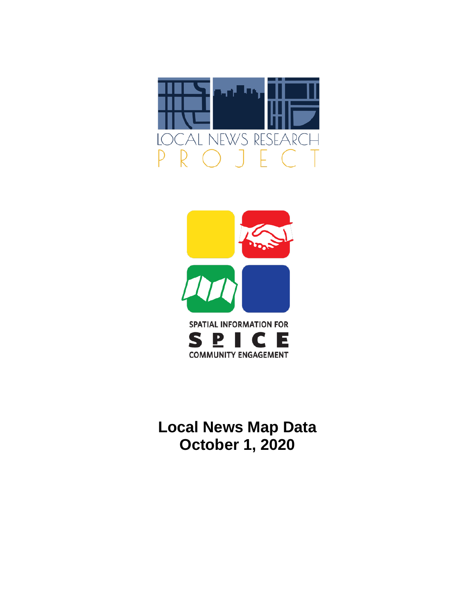



**Local News Map Data October 1, 2020**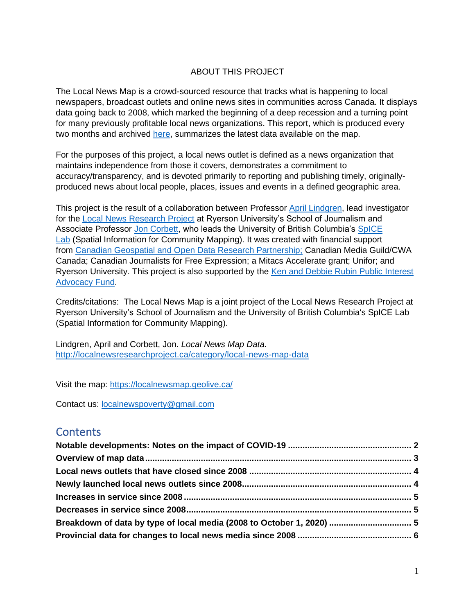### ABOUT THIS PROJECT

The Local News Map is a crowd-sourced resource that tracks what is happening to local newspapers, broadcast outlets and online news sites in communities across Canada. It displays data going back to 2008, which marked the beginning of a deep recession and a turning point for many previously profitable local news organizations. This report, which is produced every two months and archived [here,](http://localnewsresearchproject.ca/category/local-news-map-data) summarizes the latest data available on the map.

For the purposes of this project, a local news outlet is defined as a news organization that maintains independence from those it covers, demonstrates a commitment to accuracy/transparency, and is devoted primarily to reporting and publishing timely, originallyproduced news about local people, places, issues and events in a defined geographic area.

This project is the result of a collaboration between Professor [April Lindgren,](http://rsj.journalism.ryerson.ca/team/april-lindgren/) lead investigator for the [Local News Research Project](http://localnewsresearchproject.ca/) at Ryerson University's School of Journalism and Associate Professor [Jon Corbett,](http://joncorbett.com/JonCorbett/Home.html) who leads the University of British Columbia's [SpICE](http://spice.geolive.ca/)  [Lab](http://spice.geolive.ca/) (Spatial Information for Community Mapping). It was created with financial support from [Canadian Geospatial and Open Data Research Partnership;](http://geothink.ca/) Canadian Media Guild/CWA Canada; Canadian Journalists for Free Expression; a Mitacs Accelerate grant; Unifor; and Ryerson University. This project is also supported by the [Ken and Debbie Rubin Public Interest](http://kenrubin.ca/grants/)  [Advocacy Fund.](http://kenrubin.ca/grants/)

Credits/citations: The Local News Map is a joint project of the Local News Research Project at Ryerson University's School of Journalism and the University of British Columbia's SpICE Lab (Spatial Information for Community Mapping).

Lindgren, April and Corbett, Jon. *Local News Map Data.*  <http://localnewsresearchproject.ca/category/local-news-map-data>

Visit the map:<https://localnewsmap.geolive.ca/>

Contact us: [localnewspoverty@gmail.com](mailto:localnewspoverty@gmail.com)

# **Contents**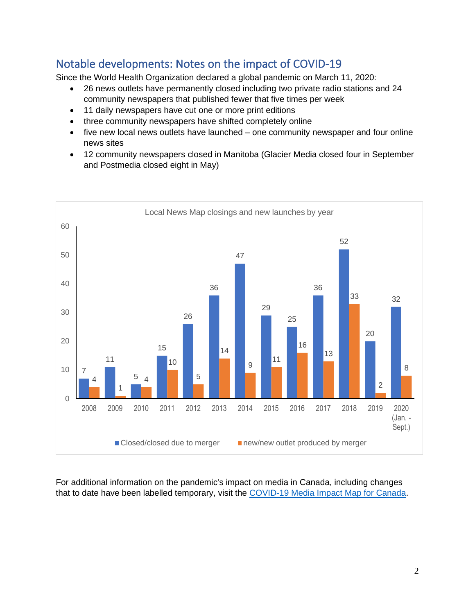# <span id="page-2-0"></span>Notable developments: Notes on the impact of COVID-19

<span id="page-2-1"></span>Since the World Health Organization declared a global pandemic on March 11, 2020:

- 26 news outlets have permanently closed including two private radio stations and 24 community newspapers that published fewer that five times per week
- 11 daily newspapers have cut one or more print editions
- three community newspapers have shifted completely online
- five new local news outlets have launched one community newspaper and four online news sites
- 12 community newspapers closed in Manitoba (Glacier Media closed four in September and Postmedia closed eight in May)



For additional information on the pandemic's impact on media in Canada, including changes that to date have been labelled temporary, visit the [COVID-19 Media Impact Map for Canada.](https://localnewsresearchproject.ca/covid-19-media-impact-map-for-canada/)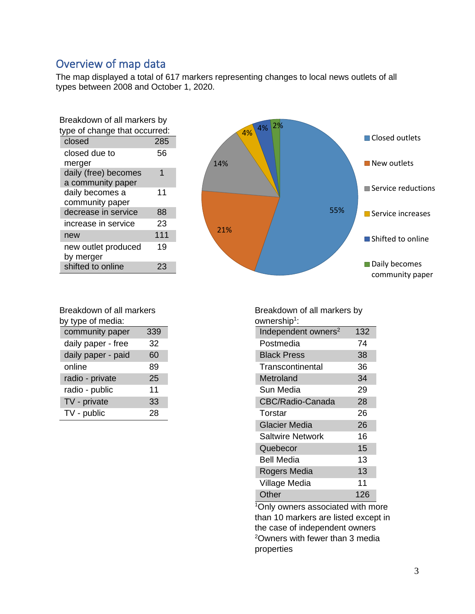## Overview of map data

The map displayed a total of 617 markers representing changes to local news outlets of all types between 2008 and October 1, 2020.

| Breakdown of all markers by<br>type of change that occurred: |     |  |  |  |
|--------------------------------------------------------------|-----|--|--|--|
| closed                                                       | 285 |  |  |  |
| closed due to<br>merger                                      | 56  |  |  |  |
| daily (free) becomes                                         | 1   |  |  |  |
| a community paper                                            |     |  |  |  |
| daily becomes a                                              | 11  |  |  |  |
| community paper                                              |     |  |  |  |
| decrease in service                                          | 88  |  |  |  |
| increase in service                                          | 23  |  |  |  |
| new                                                          | 111 |  |  |  |
| new outlet produced<br>by merger                             | 19  |  |  |  |
| shifted to online                                            |     |  |  |  |



Breakdown of all markers by type of media:

| community paper    | 339 |
|--------------------|-----|
| daily paper - free | 32  |
| daily paper - paid | 60  |
| online             | 89  |
| radio - private    | 25  |
| radio - public     | 11  |
| TV - private       | 33  |
| TV - public        | 28  |

Breakdown of all markers by ownership<sup>1</sup>: Independent owners $2$  132 Postmedia 74 Black Press 38 Transcontinental 36 Metroland 34 Sun Media 29 CBC/Radio-Canada 28 Torstar 26 Glacier Media 26 Saltwire Network 16 Quebecor 15 Bell Media 13 Rogers Media 13 Village Media 11 Other 126

<sup>1</sup>Only owners associated with more than 10 markers are listed except in the case of independent owners <sup>2</sup>Owners with fewer than 3 media properties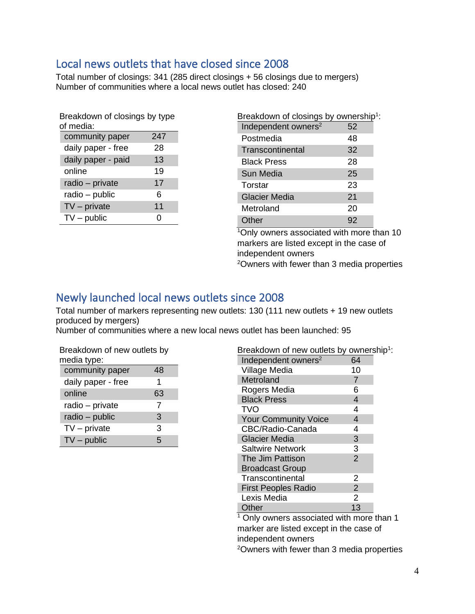# <span id="page-4-0"></span>Local news outlets that have closed since 2008

Total number of closings: 341 (285 direct closings + 56 closings due to mergers) Number of communities where a local news outlet has closed: 240

| Breakdown of closings by type |     |  |  |  |
|-------------------------------|-----|--|--|--|
| of media:                     |     |  |  |  |
| community paper               | 247 |  |  |  |
| daily paper - free            | 28  |  |  |  |
| daily paper - paid            | 13  |  |  |  |
| online                        | 19  |  |  |  |
| radio - private               | 17  |  |  |  |
| radio - public                | 6   |  |  |  |
| $TV$ – private                | 11  |  |  |  |
| $TV$ – public                 |     |  |  |  |

| Breakdown of closings by ownership <sup>1</sup> : |    |
|---------------------------------------------------|----|
| Independent owners <sup>2</sup>                   | 52 |
| Postmedia                                         | 48 |
| Transcontinental                                  | 32 |
| <b>Black Press</b>                                | 28 |
| Sun Media                                         | 25 |
| Torstar                                           | 23 |
| <b>Glacier Media</b>                              | 21 |
| Metroland                                         | 20 |
| Other                                             | 92 |

<sup>1</sup>Only owners associated with more than 10 markers are listed except in the case of independent owners

<sup>2</sup>Owners with fewer than 3 media properties

## <span id="page-4-1"></span>Newly launched local news outlets since 2008

Total number of markers representing new outlets: 130 (111 new outlets + 19 new outlets produced by mergers)

Number of communities where a new local news outlet has been launched: 95

| Breakdown of new outlets by |    |  |  |  |
|-----------------------------|----|--|--|--|
| media type:                 |    |  |  |  |
| community paper             | 48 |  |  |  |
| daily paper - free          | 1  |  |  |  |
| online                      | 63 |  |  |  |
| radio – private             | 7  |  |  |  |
| radio - public              | 3  |  |  |  |
| $TV$ – private              | 3  |  |  |  |
| $TV$ – public               | 5  |  |  |  |

| Breakdown of new outlets by ownership <sup>1</sup> : |                |  |
|------------------------------------------------------|----------------|--|
| Independent owners <sup>2</sup>                      | 64             |  |
| Village Media                                        | 10             |  |
| Metroland                                            | 7              |  |
| Rogers Media                                         | 6              |  |
| <b>Black Press</b>                                   | 4              |  |
| TVO                                                  | 4              |  |
| <b>Your Community Voice</b>                          | 4              |  |
| CBC/Radio-Canada                                     | 4              |  |
| <b>Glacier Media</b>                                 | 3              |  |
| <b>Saltwire Network</b>                              | 3              |  |
| The Jim Pattison                                     | $\overline{2}$ |  |
| <b>Broadcast Group</b>                               |                |  |
| Transcontinental                                     | 2              |  |
| <b>First Peoples Radio</b>                           | $\overline{2}$ |  |
| Lexis Media                                          | 2              |  |
| Other                                                | 13             |  |

<sup>1</sup> Only owners associated with more than 1 marker are listed except in the case of independent owners

2Owners with fewer than 3 media properties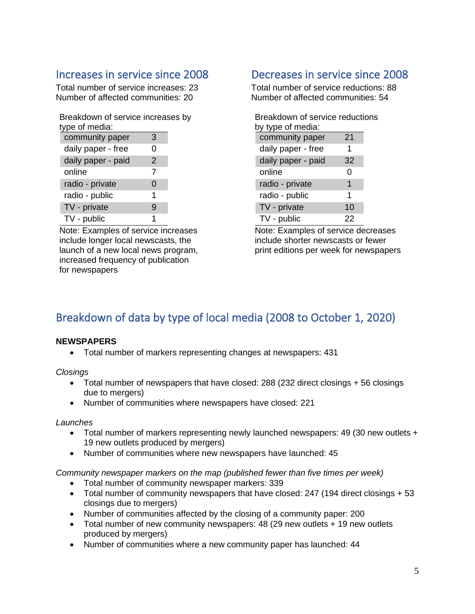# <span id="page-5-0"></span>Increases in service since 2008

Total number of service increases: 23 Number of affected communities: 20

Breakdown of service increases by type of media:

| community paper    | 3 |
|--------------------|---|
| daily paper - free | 0 |
| daily paper - paid | 2 |
| online             | 7 |
| radio - private    | 0 |
| radio - public     | 1 |
| TV - private       | g |
| TV - public        |   |

Note: Examples of service increases include longer local newscasts, the launch of a new local news program, increased frequency of publication for newspapers

# <span id="page-5-1"></span>Decreases in service since 2008

Total number of service reductions: 88 Number of affected communities: 54

| Breakdown of service reductions |    |  |  |  |  |
|---------------------------------|----|--|--|--|--|
| by type of media:               |    |  |  |  |  |
| community paper                 | 21 |  |  |  |  |
| daily paper - free              | 1  |  |  |  |  |
| daily paper - paid              | 32 |  |  |  |  |
| online                          | 0  |  |  |  |  |
| radio - private                 | 1  |  |  |  |  |
| radio - public                  | 1  |  |  |  |  |
| TV - private                    | 10 |  |  |  |  |
| TV - public                     | 22 |  |  |  |  |

Note: Examples of service decreases include shorter newscasts or fewer print editions per week for newspapers

# <span id="page-5-2"></span>Breakdown of data by type of local media (2008 to October 1, 2020)

### **NEWSPAPERS**

• Total number of markers representing changes at newspapers: 431

*Closings*

- Total number of newspapers that have closed: 288 (232 direct closings + 56 closings due to mergers)
- Number of communities where newspapers have closed: 221

*Launches*

- Total number of markers representing newly launched newspapers: 49 (30 new outlets + 19 new outlets produced by mergers)
- Number of communities where new newspapers have launched: 45

*Community newspaper markers on the map (published fewer than five times per week)* 

- Total number of community newspaper markers: 339
- Total number of community newspapers that have closed: 247 (194 direct closings + 53) closings due to mergers)
- Number of communities affected by the closing of a community paper: 200
- Total number of new community newspapers: 48 (29 new outlets + 19 new outlets produced by mergers)
- Number of communities where a new community paper has launched: 44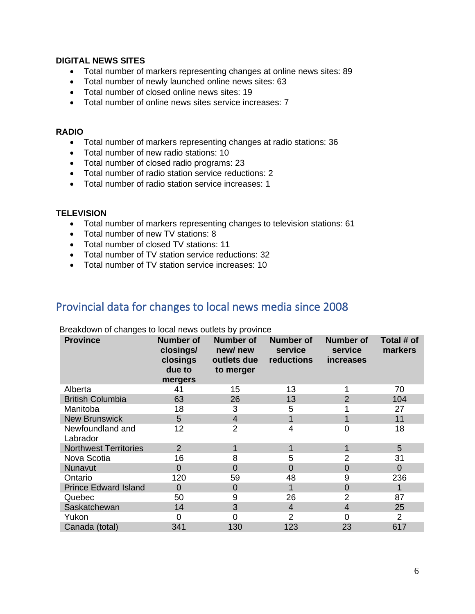### **DIGITAL NEWS SITES**

- Total number of markers representing changes at online news sites: 89
- Total number of newly launched online news sites: 63
- Total number of closed online news sites: 19
- Total number of online news sites service increases: 7

### **RADIO**

- Total number of markers representing changes at radio stations: 36
- Total number of new radio stations: 10
- Total number of closed radio programs: 23
- Total number of radio station service reductions: 2
- Total number of radio station service increases: 1

### **TELEVISION**

- Total number of markers representing changes to television stations: 61
- Total number of new TV stations: 8
- Total number of closed TV stations: 11
- Total number of TV station service reductions: 32
- Total number of TV station service increases: 10

### <span id="page-6-0"></span>Provincial data for changes to local news media since 2008

| <b>Province</b>              | <b>Number of</b><br>closings/<br>closings<br>due to<br>mergers | Number of<br>new/new<br>outlets due<br>to merger | <b>Number of</b><br>service<br>reductions | <b>Number of</b><br>service<br><i>increases</i> | Total # of<br>markers |
|------------------------------|----------------------------------------------------------------|--------------------------------------------------|-------------------------------------------|-------------------------------------------------|-----------------------|
| Alberta                      | 41                                                             | 15                                               | 13                                        |                                                 | 70                    |
| <b>British Columbia</b>      | 63                                                             | 26                                               | 13                                        | 2                                               | 104                   |
| Manitoba                     | 18                                                             | 3                                                | 5                                         |                                                 | 27                    |
| <b>New Brunswick</b>         | 5                                                              | $\overline{4}$                                   |                                           |                                                 | 11                    |
| Newfoundland and<br>Labrador | 12                                                             | $\overline{2}$                                   | 4                                         | 0                                               | 18                    |
| <b>Northwest Territories</b> | $\overline{2}$                                                 |                                                  |                                           |                                                 | 5                     |
| Nova Scotia                  | 16                                                             | 8                                                | 5                                         | $\overline{2}$                                  | 31                    |
| Nunavut                      | $\overline{0}$                                                 | $\overline{0}$                                   | $\Omega$                                  | $\Omega$                                        | $\Omega$              |
| Ontario                      | 120                                                            | 59                                               | 48                                        | 9                                               | 236                   |
| <b>Prince Edward Island</b>  | $\overline{0}$                                                 | $\overline{0}$                                   |                                           | $\overline{0}$                                  | 1                     |
| Quebec                       | 50                                                             | 9                                                | 26                                        | $\overline{2}$                                  | 87                    |
| Saskatchewan                 | 14                                                             | 3                                                | $\overline{4}$                            | $\overline{4}$                                  | 25                    |
| Yukon                        | 0                                                              | 0                                                | 2                                         | ∩                                               | $\overline{2}$        |
| Canada (total)               | 341                                                            | 130                                              | 123                                       | 23                                              | 617                   |

### Breakdown of changes to local news outlets by province